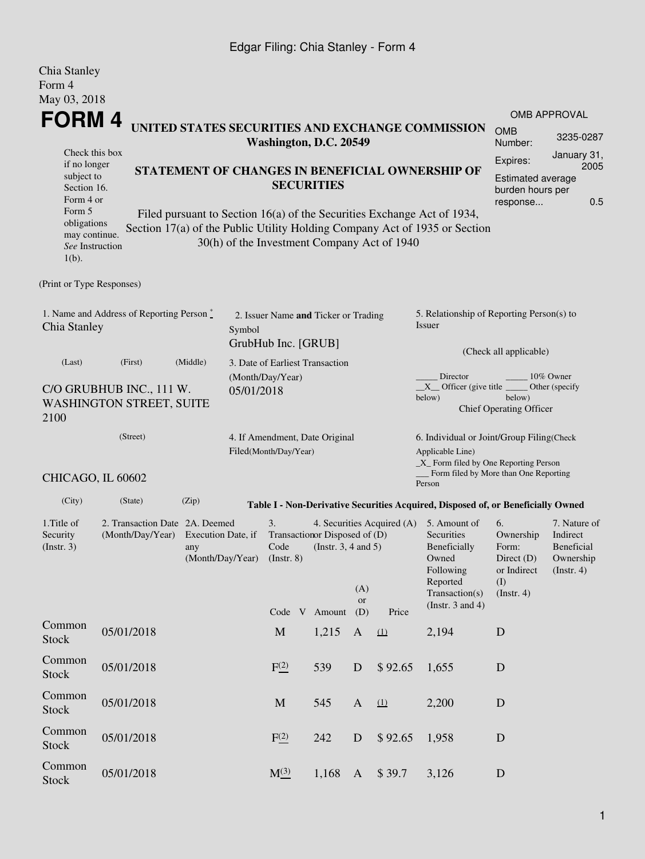## Edgar Filing: Chia Stanley - Form 4

| Chia Stanley<br>Form 4<br>May 03, 2018                                                                                                                                                                                                                                                                                                                                                                                                                                                                                                      |                                                                       |                                                  |                                                                          |                                 |                                                            |                                                                                                                                                   |                                                                                  |                                                                                       |                     |  |  |
|---------------------------------------------------------------------------------------------------------------------------------------------------------------------------------------------------------------------------------------------------------------------------------------------------------------------------------------------------------------------------------------------------------------------------------------------------------------------------------------------------------------------------------------------|-----------------------------------------------------------------------|--------------------------------------------------|--------------------------------------------------------------------------|---------------------------------|------------------------------------------------------------|---------------------------------------------------------------------------------------------------------------------------------------------------|----------------------------------------------------------------------------------|---------------------------------------------------------------------------------------|---------------------|--|--|
| <b>FORM4</b>                                                                                                                                                                                                                                                                                                                                                                                                                                                                                                                                |                                                                       |                                                  |                                                                          |                                 |                                                            |                                                                                                                                                   |                                                                                  |                                                                                       | <b>OMB APPROVAL</b> |  |  |
|                                                                                                                                                                                                                                                                                                                                                                                                                                                                                                                                             |                                                                       | UNITED STATES SECURITIES AND EXCHANGE COMMISSION |                                                                          |                                 |                                                            |                                                                                                                                                   |                                                                                  | <b>OMB</b><br>Number:                                                                 | 3235-0287           |  |  |
| Washington, D.C. 20549<br>Check this box<br>January 31,<br>Expires:<br>if no longer<br>STATEMENT OF CHANGES IN BENEFICIAL OWNERSHIP OF<br>subject to<br>Estimated average<br><b>SECURITIES</b><br>Section 16.<br>burden hours per<br>Form 4 or<br>response<br>Form 5<br>Filed pursuant to Section 16(a) of the Securities Exchange Act of 1934,<br>obligations<br>Section 17(a) of the Public Utility Holding Company Act of 1935 or Section<br>may continue.<br>30(h) of the Investment Company Act of 1940<br>See Instruction<br>$1(b)$ . |                                                                       |                                                  |                                                                          |                                 |                                                            |                                                                                                                                                   |                                                                                  |                                                                                       |                     |  |  |
| (Print or Type Responses)                                                                                                                                                                                                                                                                                                                                                                                                                                                                                                                   |                                                                       |                                                  |                                                                          |                                 |                                                            |                                                                                                                                                   |                                                                                  |                                                                                       |                     |  |  |
| 1. Name and Address of Reporting Person *<br>Chia Stanley                                                                                                                                                                                                                                                                                                                                                                                                                                                                                   | 2. Issuer Name and Ticker or Trading<br>Symbol<br>GrubHub Inc. [GRUB] |                                                  |                                                                          |                                 | 5. Relationship of Reporting Person(s) to<br><b>Issuer</b> |                                                                                                                                                   |                                                                                  |                                                                                       |                     |  |  |
| (Middle)<br>(Last)<br>(First)                                                                                                                                                                                                                                                                                                                                                                                                                                                                                                               |                                                                       |                                                  |                                                                          | 3. Date of Earliest Transaction |                                                            |                                                                                                                                                   | (Check all applicable)                                                           |                                                                                       |                     |  |  |
| 2100                                                                                                                                                                                                                                                                                                                                                                                                                                                                                                                                        | C/O GRUBHUB INC., 111 W.<br><b>WASHINGTON STREET, SUITE</b>           | (Month/Day/Year)<br>05/01/2018                   |                                                                          |                                 |                                                            | Director<br>10% Owner<br>$X$ Officer (give title $\overline{\phantom{a}}$<br>Other (specify<br>below)<br>below)<br><b>Chief Operating Officer</b> |                                                                                  |                                                                                       |                     |  |  |
|                                                                                                                                                                                                                                                                                                                                                                                                                                                                                                                                             | (Street)                                                              | Filed(Month/Day/Year)                            | 4. If Amendment, Date Original<br>Applicable Line)                       |                                 |                                                            |                                                                                                                                                   |                                                                                  | 6. Individual or Joint/Group Filing(Check<br>$\_X$ Form filed by One Reporting Person |                     |  |  |
| CHICAGO, IL 60602                                                                                                                                                                                                                                                                                                                                                                                                                                                                                                                           |                                                                       |                                                  |                                                                          |                                 |                                                            |                                                                                                                                                   | Form filed by More than One Reporting<br>Person                                  |                                                                                       |                     |  |  |
| (City)                                                                                                                                                                                                                                                                                                                                                                                                                                                                                                                                      | (State)                                                               | (Zip)                                            |                                                                          |                                 |                                                            |                                                                                                                                                   | Table I - Non-Derivative Securities Acquired, Disposed of, or Beneficially Owned |                                                                                       |                     |  |  |
| 1. Title of<br>Security<br>(Insert. 3)                                                                                                                                                                                                                                                                                                                                                                                                                                                                                                      | 2. Transaction Date 2A. Deemed<br>(Month/Day/Year) Execution Date, if | 3.<br>Code<br>(Month/Day/Year) (Instr. 8)        | Transaction Disposed of (D)<br>(Instr. $3, 4$ and $5$ )<br>Code V Amount | (A)<br><b>or</b><br>(D)         | 4. Securities Acquired (A)<br>Price                        | 5. Amount of<br>Securities<br>Beneficially<br>Owned<br>Following<br>Reported<br>Transaction(s)<br>(Instr. 3 and 4)                                | 6.<br>Ownership<br>Form:<br>Direct $(D)$<br>or Indirect<br>(I)<br>(Insert. 4)    | 7. Nature of<br>Indirect<br><b>Beneficial</b><br>Ownership<br>$($ Instr. 4 $)$        |                     |  |  |
| Common<br>Stock                                                                                                                                                                                                                                                                                                                                                                                                                                                                                                                             | 05/01/2018                                                            |                                                  | $\mathbf M$                                                              | 1,215                           | $\mathbf{A}$                                               | (1)                                                                                                                                               | 2,194                                                                            | $\mathbf D$                                                                           |                     |  |  |
| Common<br><b>Stock</b>                                                                                                                                                                                                                                                                                                                                                                                                                                                                                                                      | 05/01/2018                                                            |                                                  | F <sup>(2)</sup>                                                         | 539                             | D                                                          | \$92.65                                                                                                                                           | 1,655                                                                            | D                                                                                     |                     |  |  |
| Common<br><b>Stock</b>                                                                                                                                                                                                                                                                                                                                                                                                                                                                                                                      | 05/01/2018                                                            |                                                  | M                                                                        | 545                             | $\mathbf{A}$                                               | (1)                                                                                                                                               | 2,200                                                                            | $\mathbf D$                                                                           |                     |  |  |
| Common<br><b>Stock</b>                                                                                                                                                                                                                                                                                                                                                                                                                                                                                                                      | 05/01/2018                                                            |                                                  | F <sup>(2)</sup>                                                         | 242                             | D                                                          | \$92.65                                                                                                                                           | 1,958                                                                            | $\mathbf D$                                                                           |                     |  |  |
| Common<br><b>Stock</b>                                                                                                                                                                                                                                                                                                                                                                                                                                                                                                                      | 05/01/2018                                                            |                                                  | $M_{-}^{(3)}$                                                            | 1,168                           | $\mathbf{A}$                                               | \$39.7                                                                                                                                            | 3,126                                                                            | D                                                                                     |                     |  |  |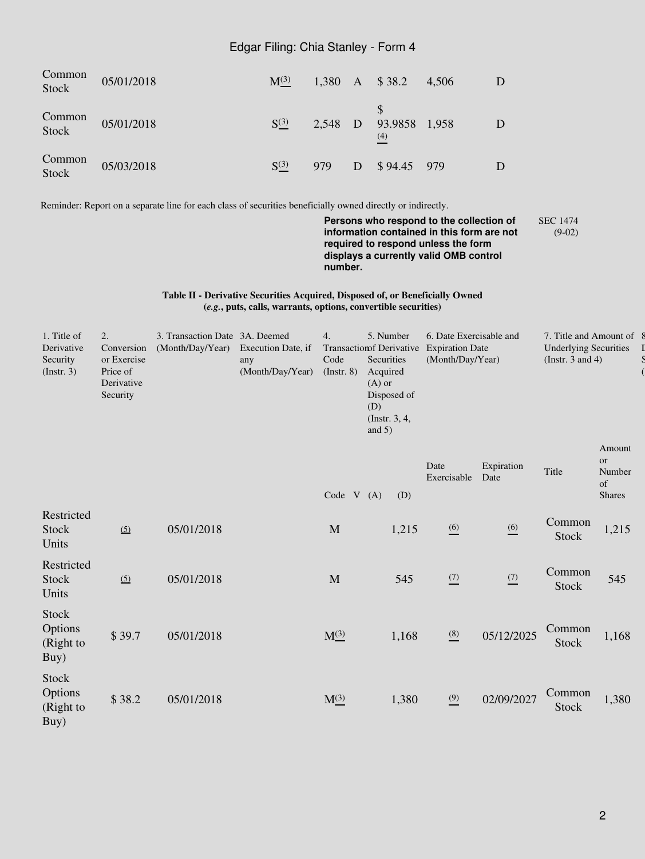## Edgar Filing: Chia Stanley - Form 4

| Common<br>Stock | 05/01/2018 | $M^{(3)}$ |           |   | 1,380 A \$38.2       | 4.506 |  |
|-----------------|------------|-----------|-----------|---|----------------------|-------|--|
| Common<br>Stock | 05/01/2018 | $S^{(3)}$ | $2,548$ D |   | 93.9858 1,958<br>(4) |       |  |
| Common<br>Stock | 05/03/2018 | $S^{(3)}$ | 979       | D | $$94.45$ 979         |       |  |

Reminder: Report on a separate line for each class of securities beneficially owned directly or indirectly.

**Persons who respond to the collection of information contained in this form are not required to respond unless the form displays a currently valid OMB control number.** SEC 1474 (9-02)

**Table II - Derivative Securities Acquired, Disposed of, or Beneficially Owned (***e.g.***, puts, calls, warrants, options, convertible securities)**

| 1. Title of<br>Derivative<br>Security<br>(Instr. 3) | 2.<br>Conversion<br>or Exercise<br>Price of<br>Derivative<br>Security | 3. Transaction Date 3A. Deemed<br>(Month/Day/Year) | Execution Date, if<br>any<br>(Month/Day/Year) | 4.<br><b>Transactionsf Derivative</b><br>Code<br>$($ Instr. $8)$ | 5. Number<br>Securities<br>Acquired<br>$(A)$ or<br>Disposed of<br>(D)<br>(Instr. 3, 4,<br>and $5)$ |       | 6. Date Exercisable and<br><b>Expiration Date</b><br>(Month/Day/Year) |                    | 7. Title and Amount of 8<br><b>Underlying Securities</b><br>(Instr. $3$ and $4$ ) |                                                                                                                                                      |
|-----------------------------------------------------|-----------------------------------------------------------------------|----------------------------------------------------|-----------------------------------------------|------------------------------------------------------------------|----------------------------------------------------------------------------------------------------|-------|-----------------------------------------------------------------------|--------------------|-----------------------------------------------------------------------------------|------------------------------------------------------------------------------------------------------------------------------------------------------|
|                                                     |                                                                       |                                                    |                                               | Code V                                                           | (A)                                                                                                | (D)   | Date<br>Exercisable                                                   | Expiration<br>Date | Title                                                                             | Amount<br><b>or</b><br>Number<br>$% \left( \left( \mathcal{A},\mathcal{A}\right) \right) =\left( \mathcal{A},\mathcal{A}\right)$ of<br><b>Shares</b> |
| Restricted<br>Stock<br>Units                        | (5)                                                                   | 05/01/2018                                         |                                               | $\mathbf M$                                                      |                                                                                                    | 1,215 | $\underline{(6)}$                                                     | $\underline{(6)}$  | Common<br>Stock                                                                   | 1,215                                                                                                                                                |
| Restricted<br><b>Stock</b><br>Units                 | (5)                                                                   | 05/01/2018                                         |                                               | $\mathbf M$                                                      |                                                                                                    | 545   | $\frac{(7)}{2}$                                                       | (7)                | Common<br>Stock                                                                   | 545                                                                                                                                                  |
| <b>Stock</b><br>Options<br>(Right to<br>Buy)        | \$39.7                                                                | 05/01/2018                                         |                                               | $M^{(3)}_{-}$                                                    |                                                                                                    | 1,168 | (8)                                                                   | 05/12/2025         | Common<br>Stock                                                                   | 1,168                                                                                                                                                |
| Stock<br>Options<br>(Right to<br>Buy)               | \$38.2                                                                | 05/01/2018                                         |                                               | $M_{-}^{(3)}$                                                    |                                                                                                    | 1,380 | $\frac{(9)}{6}$                                                       | 02/09/2027         | Common<br>Stock                                                                   | 1,380                                                                                                                                                |